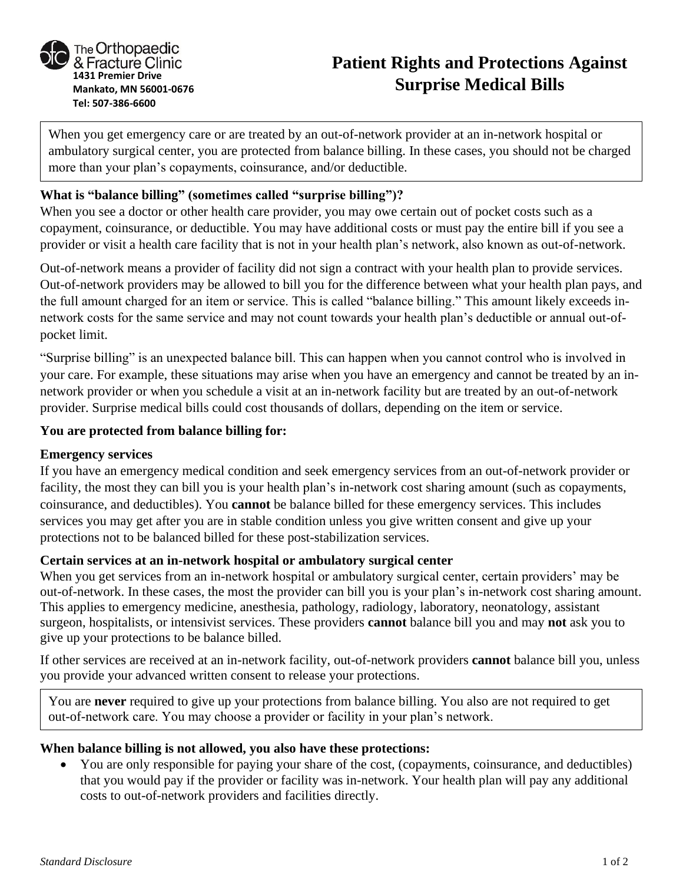

# **Patient Rights and Protections Against Surprise Medical Bills**

When you get emergency care or are treated by an out-of-network provider at an in-network hospital or ambulatory surgical center, you are protected from balance billing. In these cases, you should not be charged more than your plan's copayments, coinsurance, and/or deductible.

## **What is "balance billing" (sometimes called "surprise billing")?**

When you see a doctor or other health care provider, you may owe certain out of pocket costs such as a copayment, coinsurance, or deductible. You may have additional costs or must pay the entire bill if you see a provider or visit a health care facility that is not in your health plan's network, also known as out-of-network.

Out-of-network means a provider of facility did not sign a contract with your health plan to provide services. Out-of-network providers may be allowed to bill you for the difference between what your health plan pays, and the full amount charged for an item or service. This is called "balance billing." This amount likely exceeds innetwork costs for the same service and may not count towards your health plan's deductible or annual out-ofpocket limit.

"Surprise billing" is an unexpected balance bill. This can happen when you cannot control who is involved in your care. For example, these situations may arise when you have an emergency and cannot be treated by an innetwork provider or when you schedule a visit at an in-network facility but are treated by an out-of-network provider. Surprise medical bills could cost thousands of dollars, depending on the item or service.

## **You are protected from balance billing for:**

#### **Emergency services**

If you have an emergency medical condition and seek emergency services from an out-of-network provider or facility, the most they can bill you is your health plan's in-network cost sharing amount (such as copayments, coinsurance, and deductibles). You **cannot** be balance billed for these emergency services. This includes services you may get after you are in stable condition unless you give written consent and give up your protections not to be balanced billed for these post-stabilization services.

## **Certain services at an in-network hospital or ambulatory surgical center**

When you get services from an in-network hospital or ambulatory surgical center, certain providers' may be out-of-network. In these cases, the most the provider can bill you is your plan's in-network cost sharing amount. This applies to emergency medicine, anesthesia, pathology, radiology, laboratory, neonatology, assistant surgeon, hospitalists, or intensivist services. These providers **cannot** balance bill you and may **not** ask you to give up your protections to be balance billed.

If other services are received at an in-network facility, out-of-network providers **cannot** balance bill you, unless you provide your advanced written consent to release your protections.

You are **never** required to give up your protections from balance billing. You also are not required to get out-of-network care. You may choose a provider or facility in your plan's network.

#### **When balance billing is not allowed, you also have these protections:**

• You are only responsible for paying your share of the cost, (copayments, coinsurance, and deductibles) that you would pay if the provider or facility was in-network. Your health plan will pay any additional costs to out-of-network providers and facilities directly.